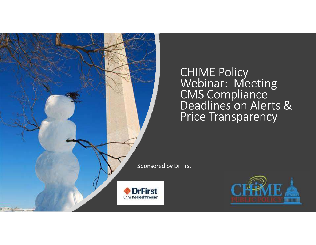

# CHIME Policy<br>Webinar: Meeting<br>CMS Compliance<br>Deadlines on Alerts & Price Transparency

Sponsored by DrFirst

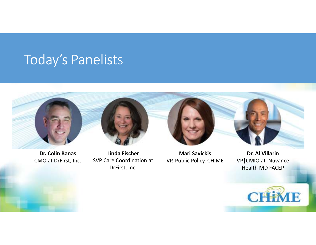# Today's Panelists



**Dr. Colin Banas** CMO at DrFirst, Inc.

**Linda Fischer** SVP Care Coordination at DrFirst, Inc.

**Mari Savickis**VP, Public Policy, CHIME

**Dr. Al Villarin** VP|CMIO at Nuvance Health MD FACEP

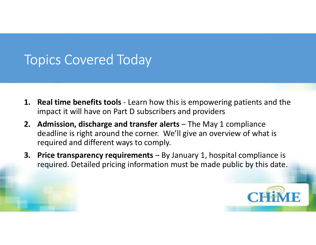# Topics Covered Today

- **1. Real time benefits tools**  Learn how this is empowering patients and the impact it will have on Part D subscribers and providers
- **2. Admission, discharge and transfer alerts**  The May 1 compliance deadline is right around the corner. We'll give an overview of what is required and different ways to comply.
- **3. Price transparency requirements**  By January 1, hospital compliance is required. Detailed pricing information must be made public by this date.

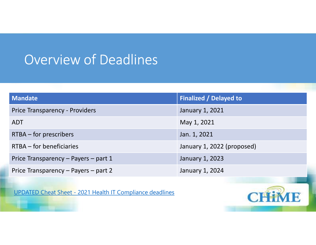# Overview of Deadlines

| <b>Mandate</b>                        | <b>Finalized / Delayed to</b> |
|---------------------------------------|-------------------------------|
| <b>Price Transparency - Providers</b> | January 1, 2021               |
| <b>ADT</b>                            | May 1, 2021                   |
| RTBA - for prescribers                | Jan. 1, 2021                  |
| RTBA – for beneficiaries              | January 1, 2022 (proposed)    |
| Price Transparency - Payers - part 1  | January 1, 2023               |
| Price Transparency - Payers - part 2  | January 1, 2024               |

UPDATED Cheat Sheet - 2021 Health IT Compliance deadlines

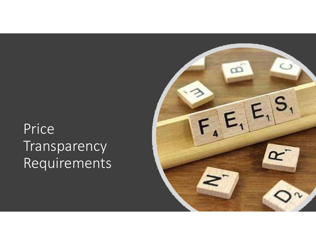# Price Transparency Requirements

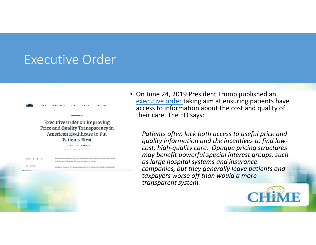#### Executive Order

| <b><i>SARRA DI</i></b> |  |                                                                                                                                                                                                                                                                                                                                                                                                                           |
|------------------------|--|---------------------------------------------------------------------------------------------------------------------------------------------------------------------------------------------------------------------------------------------------------------------------------------------------------------------------------------------------------------------------------------------------------------------------|
|                        |  |                                                                                                                                                                                                                                                                                                                                                                                                                           |
|                        |  |                                                                                                                                                                                                                                                                                                                                                                                                                           |
|                        |  |                                                                                                                                                                                                                                                                                                                                                                                                                           |
|                        |  |                                                                                                                                                                                                                                                                                                                                                                                                                           |
|                        |  |                                                                                                                                                                                                                                                                                                                                                                                                                           |
|                        |  |                                                                                                                                                                                                                                                                                                                                                                                                                           |
|                        |  |                                                                                                                                                                                                                                                                                                                                                                                                                           |
|                        |  | <b>Executive Order on Improving</b><br>Price and Quality Transparency in<br>American Healthcare to Put<br><b>Patients First</b><br><b>Contract Constitution Contract Constitution</b><br>By the authority vested in me as President by the Constitution and the laws of t<br>United States of America, it is hereby ardened as follows:<br>Section L. Purpose. Hy Administration seeks to enhance the ability of patients |

• On June 24, 2019 President Trump published an executive order taking aim at ensuring patients have access to information about the cost and quality oftheir care. The EO says:

*Patients often lack both access to useful price and quality information and the incentives to find lowcost, high-quality care. Opaque pricing structures may benefit powerful special interest groups, such as large hospital systems and insurance companies, but they generally leave patients and taxpayers worse off than would a more transparent system.*

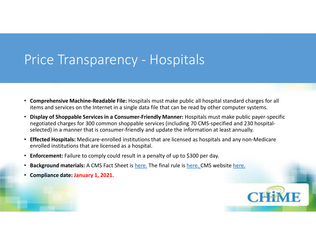#### Price Transparency - Hospitals

- **Comprehensive Machine-Readable File:** Hospitals must make public all hospital standard charges for all items and services on the Internet in a single data file that can be read by other computer systems.
- • **Display of Shoppable Services in a Consumer-Friendly Manner:** Hospitals must make public payer-specific negotiated charges for 300 common shoppable services (including 70 CMS-specified and 230 hospitalselected) in a manner that is consumer-friendly and update the information at least annually.
- **Effected Hospitals:** Medicare-enrolled institutions that are licensed as hospitals and any non-Medicare enrolled institutions that are licensed as a hospital.
- •**Enforcement:** Failure to comply could result in a penalty of up to \$300 per day.
- **Background materials:** A CMS Fact Sheet is <u>here.</u> The final rule is <u>here. C</u>MS website <u>here.</u>
- •**Compliance date: January 1, 2021.**

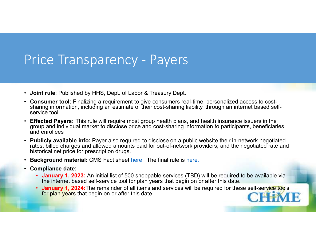#### Price Transparency - Payers

- **Joint rule**: Published by HHS, Dept. of Labor & Treasury Dept.
- **Consumer tool:** Finalizing a requirement to give consumers real-time, personalized access to costsharing information, including an estimate of their cost-sharing liability, through an internet based selfservice tool
- • **Effected Payers:** This rule will require most group health plans, and health insurance issuers in the group and individual market to disclose price and cost-sharing information to participants, beneficiaries, and enrollees
- • **Publicly available info:** Payer also required to disclose on a public website their in-network negotiated rates, billed charges and allowed amounts paid for out-of-network providers, and the negotiated rate and historical net price for prescription drugs.
- $\bullet$ **Background material:** CMS Fact sheet here. The final rule is here.
- **Compliance date:**
	- **January 1, 2023:** An initial list of 500 shoppable services (TBD) will be required to be available via the internet based self-service tool for plan years that begin on or after this date.
	- **January 1, 2024:**The remainder of all items and services will be required for these self-service tools for plan years that begin on or after this date.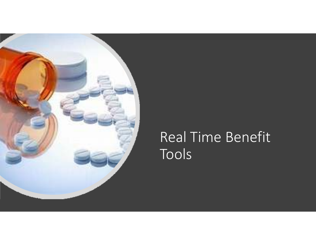

# Real Time Benefit Tools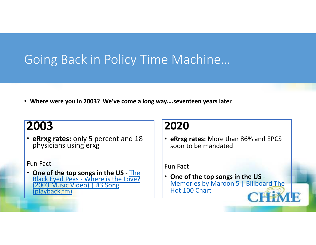#### Going Back in Policy Time Machine…

• **Where were you in 2003? We've come a long way….seventeen years later**

#### **2003**

• **eRrxg rates:** only 5 percent and 18 physicians using erxg

#### Fun Fact

• One of the top songs in the US - The **Black Eyed Peas - Where is the Love?**<br> **(2003 Music Video) | #3 Song (playback.fm)** 

#### **2020**

 • **eRrxg rates:** More than 86% and EPCS soon to be mandated

#### Fun Fact

• One of the top songs in the US -**Memories by Maroon 5 | Billboard The** Hot 100 Chart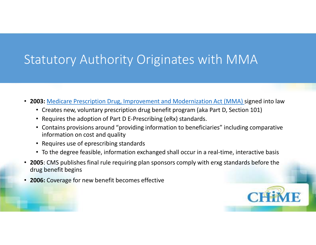#### Statutory Authority Originates with MMA

- **2003:** Medicare Prescription Drug, Improvement and Modernization Act (MMA) signed into law
	- Creates new, voluntary prescription drug benefit program (aka Part D, Section 101)
	- Requires the adoption of Part D E-Prescribing (eRx) standards.
	- Contains provisions around "providing information to beneficiaries" including comparative information on cost and quality
	- Requires use of eprescribing standards
	- To the degree feasible, information exchanged shall occur in a real-time, interactive basis
- **<sup>2005</sup>**: CMS publishes final rule requiring plan sponsors comply with erxg standards before the drug benefit begins
- •**2006:** Coverage for new benefit becomes effective

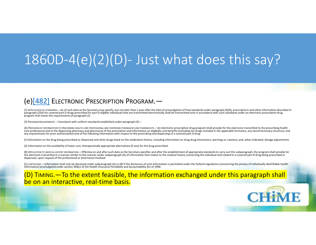# 1860D-4(e)(2)(D)- Just what does this say?

#### (e)<u>[482]</u> Electronic Prescription Program.—

(1) APPLICATION OF STANDARDS.—As of such date as the Secretary may specify, but not later than 1 year after the date of promulgation of final standards under paragraph (4)(D), prescriptions and other information described program that meets the requirements of paragraph (2).

(2) <sup>P</sup>ROGRAM REQUIREMENTS.—Consistent with uniform standards established under paragraph (3)—

(A) <sup>P</sup>ROVISION OF INFORMATION TO PRESCRIBING HEALTH CARE PROFESSIONAL AND DISPENSING PHARMACIES AND PHARMACISTS.—An electronic prescription drug program shall provide for the electronic transmittal to the prescribing health care professional and to the dispensing pharmacy and pharmacist of the prescription and information on eligibility and benefits (including the drugs included in the applicable formulary, any tiered formulary structure, and any requirements for prior authorization) and of the following information with respect to the prescribing and dispensing of a covered part D drug:

(i) Information on the drug being prescribed or dispensed and other drugs listed on the medication history, including information on drug-drug interactions, warnings or cautions, and, when indicated, dosage adjustments.

(ii) Information on the availability of lower cost, therapeutically appropriate alternatives (if any) for the drug prescribed.

(B) <sup>A</sup>PPLICATION TO MEDICAL HISTORY INFORMATION.—Effective on and after such date as the Secretary specifies and after the establishment of appropriate standards to carry out this subparagraph, the program shall provide for the electronic transmittal in a manner similar to the manner under subparagraph (A) of information that relates to the medical history concerning the individual and related to a covered part D drug being prescribed or dispensed, upon request of the professional or pharmacist involved.

(C) <sup>L</sup>IMITATIONS.—Information shall only be disclosed under subparagraph (A) or (B) if the disclosure of such information is permitted under the Federal regulations (concerning the privacy of individually identifiable health information) promulgated under section 264(c) of the Health Insurance Portability and Accountability Act of 1996.

#### (D) TIMING.—To the extent feasible, the information exchanged under this paragraph shall be on an interactive, real-time basis.

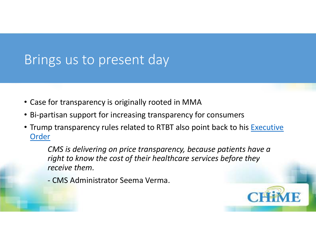#### Brings us to present day

- Case for transparency is originally rooted in MMA
- Bi-partisan support for increasing transparency for consumers
- Trump transparency rules related to RTBT also point back to his Executive Order

*CMS is delivering on price transparency, because patients have a right to know the cost of their healthcare services before they receive them.*

CMS Administrator Seema Verma.

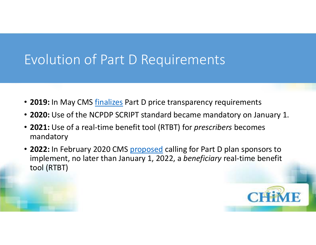#### Evolution of Part D Requirements

- **2019:** In May CMS finalizes Part D price transparency requirements
- **2020:** Use of the NCPDP SCRIPT standard became mandatory on January 1.
- **2021:** Use of a real-time benefit tool (RTBT) for *prescribers* becomes mandatory
- **2022:** In February 2020 CMS proposed calling for Part D plan sponsors to implement, no later than January 1, 2022, a *beneficiary* real-time benefit tool (RTBT)

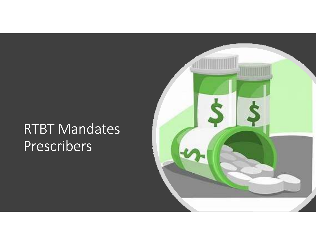# RTBT Mandates Prescribers

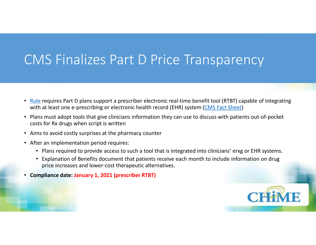#### CMS Finalizes Part D Price Transparency

- Rule requires Part D plans support a prescriber electronic real-time benefit tool (RTBT) capable of integrating with at least one e-prescribing or electronic health record (EHR) system (CMS Fact Sheet)
- Plans must adopt tools that give clinicians information they can use to discuss with patients out-of-pocket costs for Rx drugs when script is written
- Aims to avoid costly surprises at the pharmacy counter
- After an implementation period requires:
	- Plans required to provide access to such a tool that is integrated into clinicians' erxg or EHR systems.
	- Explanation of Benefits document that patients receive each month to include information on drug price increases and lower-cost therapeutic alternatives.
- •**Compliance date: January 1, 2021 (prescriber RTBT)**

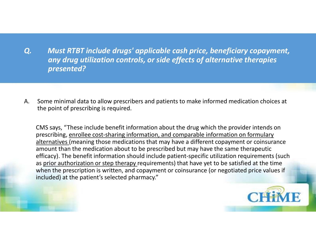*Q. Must RTBT include drugs' applicable cash price, beneficiary copayment, any drug utilization controls, or side effects of alternative therapies presented?*

A. Some minimal data to allow prescribers and patients to make informed medication choices at the point of prescribing is required.

CMS says, "These include benefit information about the drug which the provider intends on prescribing, enrollee cost-sharing information, and comparable information on formulary alternatives (meaning those medications that may have a different copayment or coinsurance amount than the medication about to be prescribed but may have the same therapeutic efficacy). The benefit information should include patient-specific utilization requirements (such as prior authorization or step therapy requirements) that have yet to be satisfied at the time when the prescription is written, and copayment or coinsurance (or negotiated price values if included) at the patient's selected pharmacy."

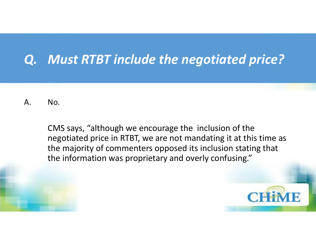### *Q. Must RTBT include the negotiated price?*

A. No.

CMS says, "although we encourage the inclusion of the negotiated price in RTBT, we are not mandating it at this time as the majority of commenters opposed its inclusion stating that the information was proprietary and overly confusing."

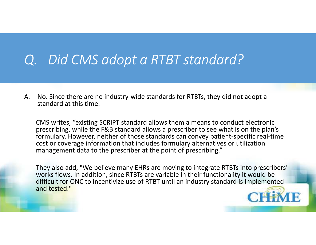# *Q. Did CMS adopt a RTBT standard?*

A. No. Since there are no industry-wide standards for RTBTs, they did not adopt a standard at this time.

CMS writes, "existing SCRIPT standard allows them a means to conduct electronic prescribing, while the F&B standard allows a prescriber to see what is on the plan's formulary. However, neither of those standards can convey patient-specific real-time cost or coverage information that includes formulary alternatives or utilization management data to the prescriber at the point of prescribing."

They also add, "We believe many EHRs are moving to integrate RTBTs into prescribers' works flows. In addition, since RTBTs are variable in their functionality it would be difficult for ONC to incentivize use of RTBT until an industry standard is implemented and tested."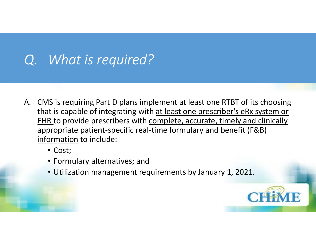# *Q. What is required?*

- A. CMS is requiring Part D plans implement at least one RTBT of its choosing that is capable of integrating with at least one prescriber's eRx system or EHR to provide prescribers with complete, accurate, timely and clinically appropriate patient-specific real-time formulary and benefit (F&B) information to include:
	- Cost;
	- Formulary alternatives; and
	- Utilization management requirements by January 1, 2021.

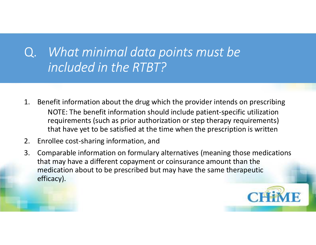### Q. *What minimal data points must be included in the RTBT?*

- 1. Benefit information about the drug which the provider intends on prescribing NOTE: The benefit information should include patient-specific utilization requirements (such as prior authorization or step therapy requirements) that have yet to be satisfied at the time when the prescription is written
- 2. Enrollee cost-sharing information, and
- 3. Comparable information on formulary alternatives (meaning those medications that may have a different copayment or coinsurance amount than the medication about to be prescribed but may have the same therapeutic efficacy).

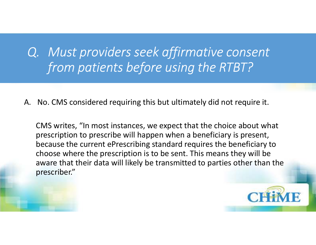#### *Q. Must providers seek affirmative consent from patients before using the RTBT?*

A. No. CMS considered requiring this but ultimately did not require it.

CMS writes, "In most instances, we expect that the choice about what prescription to prescribe will happen when a beneficiary is present, because the current ePrescribing standard requires the beneficiary to choose where the prescription is to be sent. This means they will be aware that their data will likely be transmitted to parties other than the prescriber."

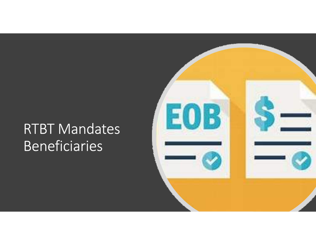# RTBT Mandates Beneficiaries

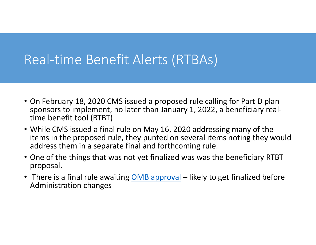#### Real-time Benefit Alerts (RTBAs)

- On February 18, 2020 CMS issued a proposed rule calling for Part D plan sponsors to implement, no later than January 1, 2022, a beneficiary realtime benefit tool (RTBT)
- While CMS issued a final rule on May 16, 2020 addressing many of the items in the proposed rule, they punted on several items noting they would address them in a separate final and forthcoming rule.
- One of the things that was not yet finalized was was the beneficiary RTBT proposal.
- There is a final rule awaiting **OMB** approval likely to get finalized before Administration changes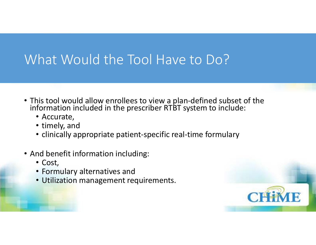### What Would the Tool Have to Do?

- This tool would allow enrollees to view a plan-defined subset of the information included in the prescriber RTBT system to include:
	- Accurate,
	- timely, and
	- clinically appropriate patient-specific real-time formulary
- And benefit information including:
	- Cost,
	- Formulary alternatives and
	- Utilization management requirements.

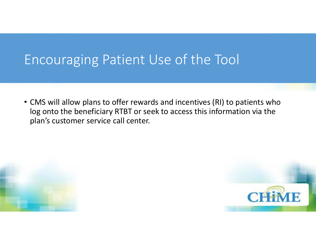#### Encouraging Patient Use of the Tool

• CMS will allow plans to offer rewards and incentives (RI) to patients who log onto the beneficiary RTBT or seek to access this information via the plan's customer service call center.



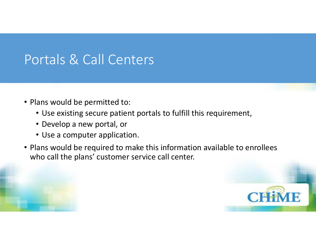## Portals & Call Centers

- Plans would be permitted to:
	- Use existing secure patient portals to fulfill this requirement,
	- Develop a new portal, or
	- Use a computer application.
- Plans would be required to make this information available to enrollees who call the plans' customer service call center.

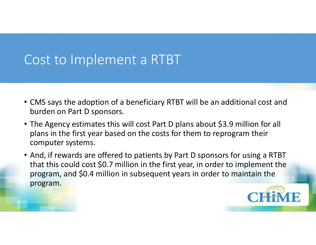# Cost to Implement a RTBT

- CMS says the adoption of a beneficiary RTBT will be an additional cost and burden on Part D sponsors.
- The Agency estimates this will cost Part D plans about \$3.9 million for all plans in the first year based on the costs for them to reprogram their computer systems.
- And, if rewards are offered to patients by Part D sponsors for using a RTBT that this could cost \$0.7 million in the first year, in order to implement the program, and \$0.4 million in subsequent years in order to maintain the program.

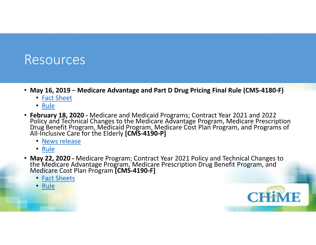#### Resources

- **May 16, 2019 Medicare Advantage and Part D Drug Pricing Final Rule (CMS-4180-F)**
	- <u>Fact Sheet</u>
	- <u>Rule</u>
- February 18, 2020 Medicare and Medicaid Programs; Contract Year 2021 and 2022<br>Policy and Technical Changes to the Medicare Advantage Program, Medicare Prescription<br>Drug Benefit Program, Medicaid Program, Medicare Cost
	- News release
	- <u>Rule</u>
- May 22, 2020 Medicare Program; Contract Year 2021 Policy and Technical Changes to **May 22, 2020 -** Medicare Program; Contract Year 2021 Policy and Technical Changes to the Medicare Advantage Program, Medicare Prescription Drug Benefit Program, and Medicare Cost Plan Program **[CMS-4190-F]**
	- **Fact Sheets**
	- Rule

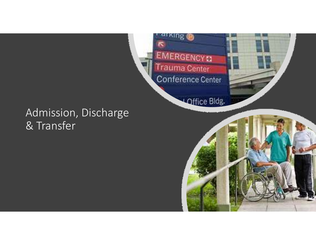**EMERGENCY O** Trauma Center Conference Center

#### Admission, Discharge & Transfer

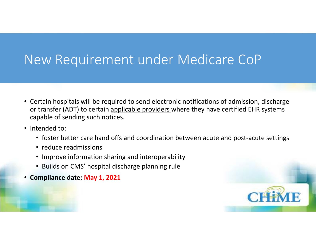# New Requirement under Medicare CoP

- Certain hospitals will be required to send electronic notifications of admission, discharge or transfer (ADT) to certain applicable providers where they have certified EHR systems capable of sending such notices.
- Intended to:
	- foster better care hand offs and coordination between acute and post-acute settings
	- reduce readmissions
	- Improve information sharing and interoperability
	- Builds on CMS' hospital discharge planning rule
- •**Compliance date: May 1, 2021**

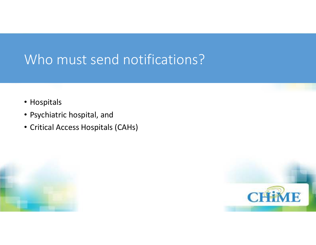## Who must send notifications?

- Hospitals
- Psychiatric hospital, and
- Critical Access Hospitals (CAHs)



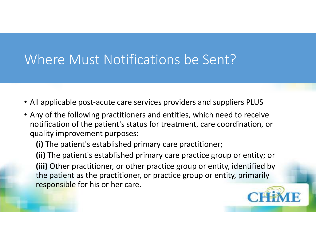# Where Must Notifications be Sent?

- All applicable post-acute care services providers and suppliers PLUS
- Any of the following practitioners and entities, which need to receive notification of the patient's status for treatment, care coordination, or quality improvement purposes:

**(i)** The patient's established primary care practitioner;

**(ii)** The patient's established primary care practice group or entity; or **(iii)** Other practitioner, or other practice group or entity, identified by the patient as the practitioner, or practice group or entity, primarily responsible for his or her care.

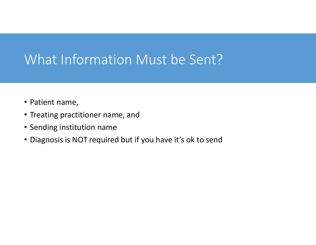### What Information Must be Sent?

- Patient name,
- Treating practitioner name, and
- Sending institution name
- Diagnosis is NOT required but if you have it's ok to send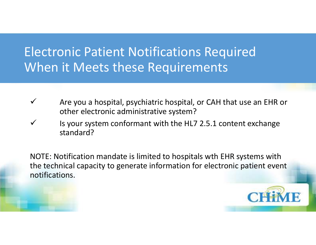#### Electronic Patient Notifications Required When it Meets these Requirements

- $\checkmark$  Are you a hospital, psychiatric hospital, or CAH that use an EHR or other electronic administrative system?
- $\checkmark$  Is your system conformant with the HL7 2.5.1 content exchange standard?

NOTE: Notification mandate is limited to hospitals wth EHR systems with the technical capacity to generate information for electronic patient event notifications.

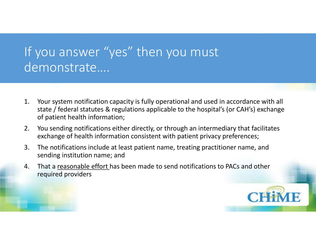#### If you answer "yes" then you must demonstrate….

- 1. Your system notification capacity is fully operational and used in accordance with all state / federal statutes & regulations applicable to the hospital's (or CAH's) exchange of patient health information;
- 2. You sending notifications either directly, or through an intermediary that facilitates exchange of health information consistent with patient privacy preferences;
- 3. The notifications include at least patient name, treating practitioner name, and sending institution name; and
- 4. That a reasonable effort has been made to send notifications to PACs and other required providers

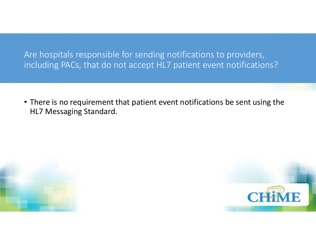Are hospitals responsible for sending notifications to providers, including PACs, that do not accept HL7 patient event notifications?

• There is no requirement that patient event notifications be sent using the HL7 Messaging Standard.



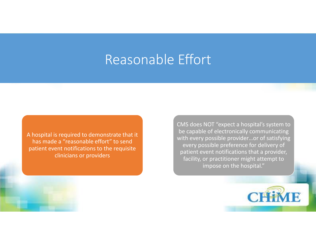#### Reasonable Effort

A hospital is required to demonstrate that it has made a "reasonable effort" to send patient event notifications to the requisite clinicians or providers

CMS does NOT "expect a hospital's system to be capable of electronically communicating with every possible provider…or of satisfying every possible preference for delivery of patient event notifications that a provider, facility, or practitioner might attempt to impose on the hospital."

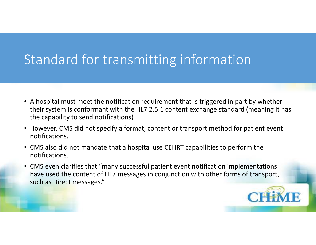# Standard for transmitting information

- A hospital must meet the notification requirement that is triggered in part by whether their system is conformant with the HL7 2.5.1 content exchange standard (meaning it has the capability to send notifications)
- $\bullet$  However, CMS did not specify a format, content or transport method for patient event notifications.
- CMS also did not mandate that a hospital use CEHRT capabilities to perform the notifications.
- CMS even clarifies that "many successful patient event notification implementations have used the content of HL7 messages in conjunction with other forms of transport, such as Direct messages."

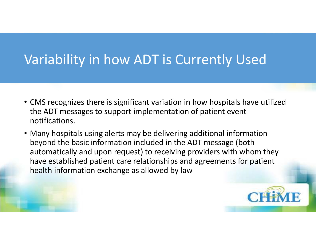# Variability in how ADT is Currently Used

- CMS recognizes there is significant variation in how hospitals have utilized the ADT messages to support implementation of patient event notifications.
- Many hospitals using alerts may be delivering additional information beyond the basic information included in the ADT message (both automatically and upon request) to receiving providers with whom they have established patient care relationships and agreements for patient health information exchange as allowed by law

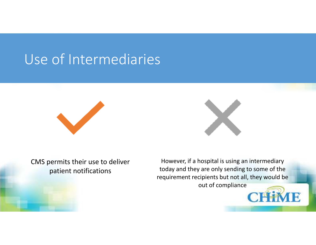# Use of Intermediaries





CMS permits their use to deliver patient notifications

However, if a hospital is using an intermediary today and they are only sending to some of the requirement recipients but not all, they would be out of compliance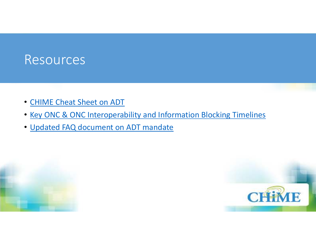#### Resources

- CHIME Cheat Sheet on ADT
- Key ONC & ONC Interoperability and Information Blocking Timelines
- Updated FAQ document on ADT mandate



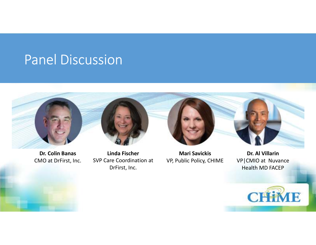### Panel Discussion



**Dr. Colin Banas** CMO at DrFirst, Inc.

**Linda Fischer** SVP Care Coordination at DrFirst, Inc.

**Mari Savickis**VP, Public Policy, CHIME

**Dr. Al Villarin** VP|CMIO at Nuvance Health MD FACEP